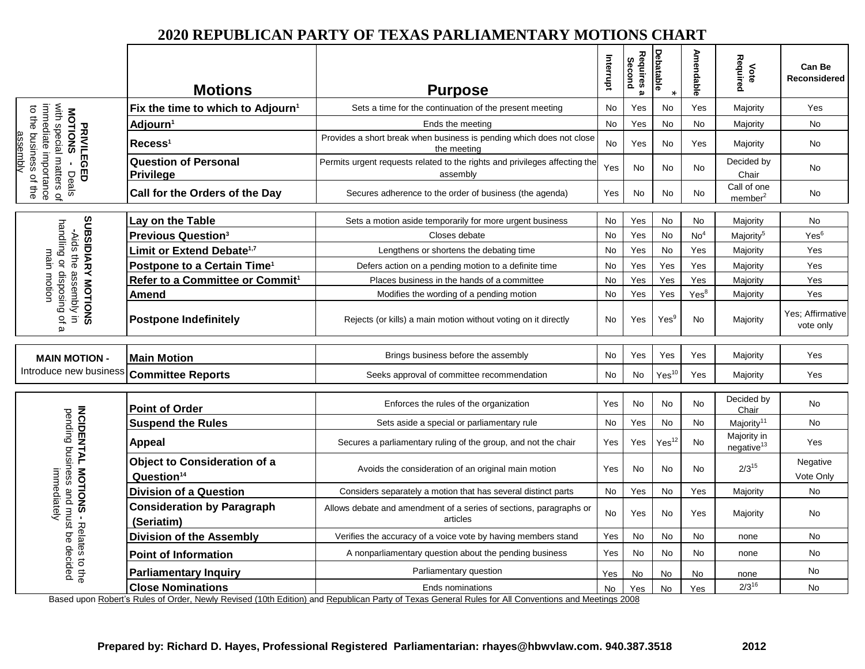## **2020 REPUBLICAN PARTY OF TEXAS PARLIAMENTARY MOTIONS CHART**

|                                                                                                                                       | <b>Motions</b>                                                | <b>Purpose</b>                                                                                                                                                         | Interrupt | Requires a<br>Second | <b>Debatable</b>  | <b>Amendable</b> | Required<br>Note                      | <b>Can Be</b><br><b>Reconsidered</b> |
|---------------------------------------------------------------------------------------------------------------------------------------|---------------------------------------------------------------|------------------------------------------------------------------------------------------------------------------------------------------------------------------------|-----------|----------------------|-------------------|------------------|---------------------------------------|--------------------------------------|
| with special matters of<br>immediate importance<br>to the business of the<br><b>MOTIONS</b><br><b>PRIVILEGED</b><br>assembly<br>Deals | Fix the time to which to Adjourn <sup>1</sup>                 | Sets a time for the continuation of the present meeting                                                                                                                | No        | Yes                  | <b>No</b>         | Yes              | Majority                              | Yes                                  |
|                                                                                                                                       | Adjourn <sup>1</sup>                                          | Ends the meeting                                                                                                                                                       | No        | Yes                  | No                | No               | Majority                              | No                                   |
|                                                                                                                                       | $\mathsf{Recess}^1$                                           | Provides a short break when business is pending which does not close<br>the meeting                                                                                    | No        | Yes                  | No                | Yes              | Majority                              | No                                   |
|                                                                                                                                       | <b>Question of Personal</b><br><b>Privilege</b>               | Permits urgent requests related to the rights and privileges affecting the<br>assembly                                                                                 | Yes       | No                   | No                | No               | Decided by<br>Chair                   | No                                   |
|                                                                                                                                       | Call for the Orders of the Day                                | Secures adherence to the order of business (the agenda)                                                                                                                | Yes       | No                   | No                | No               | Call of one<br>member <sup>2</sup>    | No.                                  |
| SUBSIDIARY MOTIONS<br>-Aids the assembly in<br>handling or disposing of                                                               | Lay on the Table                                              | Sets a motion aside temporarily for more urgent business                                                                                                               | <b>No</b> | Yes                  | <b>No</b>         | <b>No</b>        | Majority                              | No                                   |
|                                                                                                                                       | <b>Previous Question<sup>3</sup></b>                          | Closes debate                                                                                                                                                          | No        | Yes                  | No                | No <sup>4</sup>  | Majority <sup>5</sup>                 | Yes <sup>6</sup>                     |
|                                                                                                                                       | Limit or Extend Debate <sup>1,7</sup>                         | Lengthens or shortens the debating time                                                                                                                                | <b>No</b> | Yes                  | <b>No</b>         | Yes              | Majority                              | Yes                                  |
| main                                                                                                                                  | Postpone to a Certain Time <sup>1</sup>                       | Defers action on a pending motion to a definite time                                                                                                                   | No        | Yes                  | Yes               | Yes              | Majority                              | Yes                                  |
|                                                                                                                                       | Refer to a Committee or Commit <sup>1</sup>                   | Places business in the hands of a committee                                                                                                                            | No        | Yes                  | Yes               | Yes              | Majority                              | Yes                                  |
| motion                                                                                                                                | Amend                                                         | Modifies the wording of a pending motion                                                                                                                               | No        | Yes                  | Yes               | Yes <sup>8</sup> | Majority                              | Yes                                  |
| $\pmb{\omega}$                                                                                                                        | <b>Postpone Indefinitely</b>                                  | Rejects (or kills) a main motion without voting on it directly                                                                                                         | <b>No</b> | Yes                  | Yes <sup>9</sup>  | <b>No</b>        | Majority                              | Yes: Affirmative<br>vote only        |
| <b>MAIN MOTION -</b>                                                                                                                  | <b>Main Motion</b>                                            | Brings business before the assembly                                                                                                                                    | No        | Yes                  | Yes               | Yes              | Majority                              | Yes                                  |
| Introduce new business                                                                                                                | <b>Committee Reports</b>                                      | Seeks approval of committee recommendation                                                                                                                             | No        | No                   | $Yes^{10}$        | Yes              | Majority                              | Yes                                  |
|                                                                                                                                       | <b>Point of Order</b>                                         | Enforces the rules of the organization                                                                                                                                 | Yes       | <b>No</b>            | <b>No</b>         | <b>No</b>        | Decided by<br>Chair                   | No                                   |
|                                                                                                                                       | <b>Suspend the Rules</b>                                      | Sets aside a special or parliamentary rule                                                                                                                             | <b>No</b> | Yes                  | No                | <b>No</b>        | Majority <sup>11</sup>                | No                                   |
| <b>INCIDENTAL MOTIONS - Relates to the</b><br>pending business and must be<br>immediately<br>decided                                  | <b>Appeal</b>                                                 | Secures a parliamentary ruling of the group, and not the chair                                                                                                         | Yes       | Yes                  | Yes <sup>12</sup> | No               | Majority in<br>negative <sup>13</sup> | Yes                                  |
|                                                                                                                                       | <b>Object to Consideration of a</b><br>Question <sup>14</sup> | Avoids the consideration of an original main motion                                                                                                                    | Yes       | No                   | No                | No               | $2/3^{15}$                            | Negative<br>Vote Only                |
|                                                                                                                                       | <b>Division of a Question</b>                                 | Considers separately a motion that has several distinct parts                                                                                                          | No        | Yes                  | No                | Yes              | Majority                              | No                                   |
|                                                                                                                                       | <b>Consideration by Paragraph</b><br>(Seriatim)               | Allows debate and amendment of a series of sections, paragraphs or<br>articles                                                                                         | No        | Yes                  | No                | Yes              | Majority                              | No                                   |
|                                                                                                                                       | <b>Division of the Assembly</b>                               | Verifies the accuracy of a voice vote by having members stand                                                                                                          | Yes       | No                   | <b>No</b>         | <b>No</b>        | none                                  | No                                   |
|                                                                                                                                       | <b>Point of Information</b>                                   | A nonparliamentary question about the pending business                                                                                                                 | Yes       | No                   | No                | <b>No</b>        | none                                  | No                                   |
|                                                                                                                                       | <b>Parliamentary Inquiry</b>                                  | Parliamentary question                                                                                                                                                 | Yes       | No                   | No                | <b>No</b>        | none                                  | No                                   |
|                                                                                                                                       | <b>Close Nominations</b>                                      | Ends nominations<br>Based upon Robert's Rules of Order, Newly Revised (10th Edition) and Republican Party of Texas General Rules for All Conventions and Meetings 2008 | <b>No</b> | Yes                  | <b>No</b>         | Yes              | $2/3^{16}$                            | No                                   |